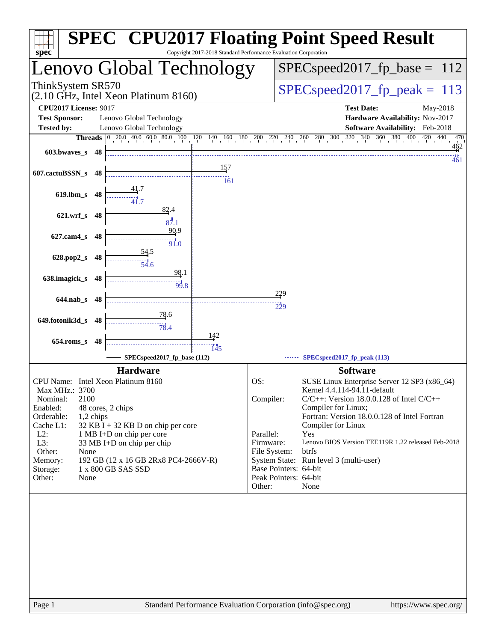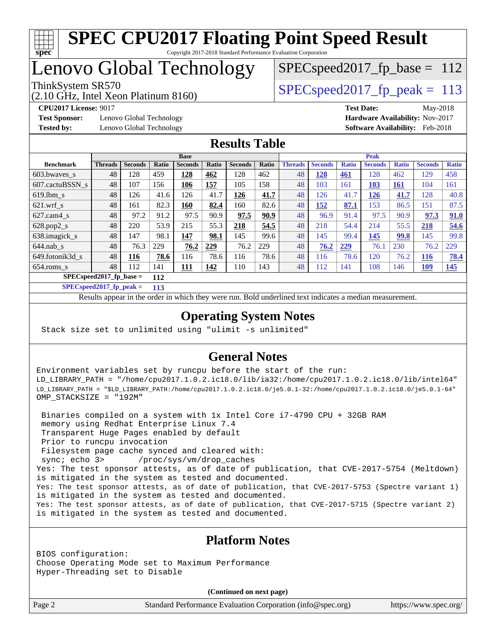

# Lenovo Global Technology

(2.10 GHz, Intel Xeon Platinum 8160)

ThinkSystem SR570<br>  $SPEC speed2017$  fp\_peak = 113 SPECspeed2017 fp base =  $112$ 

**[Test Sponsor:](http://www.spec.org/auto/cpu2017/Docs/result-fields.html#TestSponsor)** Lenovo Global Technology **[Hardware Availability:](http://www.spec.org/auto/cpu2017/Docs/result-fields.html#HardwareAvailability)** Nov-2017 **[Tested by:](http://www.spec.org/auto/cpu2017/Docs/result-fields.html#Testedby)** Lenovo Global Technology **[Software Availability:](http://www.spec.org/auto/cpu2017/Docs/result-fields.html#SoftwareAvailability)** Feb-2018

**[CPU2017 License:](http://www.spec.org/auto/cpu2017/Docs/result-fields.html#CPU2017License)** 9017 **[Test Date:](http://www.spec.org/auto/cpu2017/Docs/result-fields.html#TestDate)** May-2018

#### **[Results Table](http://www.spec.org/auto/cpu2017/Docs/result-fields.html#ResultsTable)**

|                  | <b>Base</b>                      |                |       |                |              | <b>Peak</b>    |       |                |                |              |                |              |                |              |
|------------------|----------------------------------|----------------|-------|----------------|--------------|----------------|-------|----------------|----------------|--------------|----------------|--------------|----------------|--------------|
| <b>Benchmark</b> | <b>Threads</b>                   | <b>Seconds</b> | Ratio | <b>Seconds</b> | <b>Ratio</b> | <b>Seconds</b> | Ratio | <b>Threads</b> | <b>Seconds</b> | <b>Ratio</b> | <b>Seconds</b> | <b>Ratio</b> | <b>Seconds</b> | <b>Ratio</b> |
| $603.bwaves$ s   | 48                               | 128            | 459   | 128            | 462          | 128            | 462   | 48             | <u>128</u>     | <b>461</b>   | 128            | 462          | 129            | 458          |
| 607.cactuBSSN s  | 48                               | 107            | 156   | 106            | 157          | 105            | 158   | 48             | 103            | 161          | 103            | <u>161</u>   | 104            | 161          |
| $619.1$ bm s     | 48                               | 126            | 41.6  | 126            | 41.7         | 126            | 41.7  | 48             | 126            | 41.7         | 126            | 41.7         | 128            | 40.8         |
| $621$ .wrf s     | 48                               | 161            | 82.3  | 160            | 82.4         | 160            | 82.6  | 48             | 152            | 87.1         | 153            | 86.5         | 151            | 87.5         |
| $627$ .cam4 s    | 48                               | 97.2           | 91.2  | 97.5           | 90.9         | 97.5           | 90.9  | 48             | 96.9           | 91.4         | 97.5           | 90.9         | 97.3           | 91.0         |
| $628.pop2_s$     | 48                               | 220            | 53.9  | 215            | 55.3         | 218            | 54.5  | 48             | 218            | 54.4         | 214            | 55.5         | 218            | 54.6         |
| 638.imagick_s    | 48                               | 147            | 98.1  | 147            | 98.1         | 145            | 99.6  | 48             | 145            | 99.4         | 145            | 99.8         | 145            | 99.8         |
| $644$ .nab s     | 48                               | 76.3           | 229   | 76.2           | 229          | 76.2           | 229   | 48             | 76.2           | 229          | 76.1           | 230          | 76.2           | 229          |
| 649.fotonik3d s  | 48                               | 116            | 78.6  | 116            | 78.6         | 116            | 78.6  | 48             | 116            | 78.6         | 120            | 76.2         | 116            | 78.4         |
| $654$ .roms s    | 48                               | 112            | 141   | <u>111</u>     | 142          | 110            | 143   | 48             | 112            | 141          | 108            | 146          | <u>109</u>     | <u>145</u>   |
|                  | $SPECspeed2017$ fp base =<br>112 |                |       |                |              |                |       |                |                |              |                |              |                |              |

**[SPECspeed2017\\_fp\\_peak =](http://www.spec.org/auto/cpu2017/Docs/result-fields.html#SPECspeed2017fppeak) 113**

Results appear in the [order in which they were run.](http://www.spec.org/auto/cpu2017/Docs/result-fields.html#RunOrder) Bold underlined text [indicates a median measurement](http://www.spec.org/auto/cpu2017/Docs/result-fields.html#Median).

#### **[Operating System Notes](http://www.spec.org/auto/cpu2017/Docs/result-fields.html#OperatingSystemNotes)**

Stack size set to unlimited using "ulimit -s unlimited"

#### **[General Notes](http://www.spec.org/auto/cpu2017/Docs/result-fields.html#GeneralNotes)**

Environment variables set by runcpu before the start of the run: LD\_LIBRARY\_PATH = "/home/cpu2017.1.0.2.ic18.0/lib/ia32:/home/cpu2017.1.0.2.ic18.0/lib/intel64" LD\_LIBRARY\_PATH = "\$LD\_LIBRARY\_PATH:/home/cpu2017.1.0.2.ic18.0/je5.0.1-32:/home/cpu2017.1.0.2.ic18.0/je5.0.1-64" OMP\_STACKSIZE = "192M"

 Binaries compiled on a system with 1x Intel Core i7-4790 CPU + 32GB RAM memory using Redhat Enterprise Linux 7.4 Transparent Huge Pages enabled by default Prior to runcpu invocation Filesystem page cache synced and cleared with: sync; echo 3> /proc/sys/vm/drop\_caches Yes: The test sponsor attests, as of date of publication, that CVE-2017-5754 (Meltdown) is mitigated in the system as tested and documented. Yes: The test sponsor attests, as of date of publication, that CVE-2017-5753 (Spectre variant 1) is mitigated in the system as tested and documented. Yes: The test sponsor attests, as of date of publication, that CVE-2017-5715 (Spectre variant 2) is mitigated in the system as tested and documented.

#### **[Platform Notes](http://www.spec.org/auto/cpu2017/Docs/result-fields.html#PlatformNotes)**

BIOS configuration: Choose Operating Mode set to Maximum Performance Hyper-Threading set to Disable

**(Continued on next page)**

Page 2 Standard Performance Evaluation Corporation [\(info@spec.org\)](mailto:info@spec.org) <https://www.spec.org/>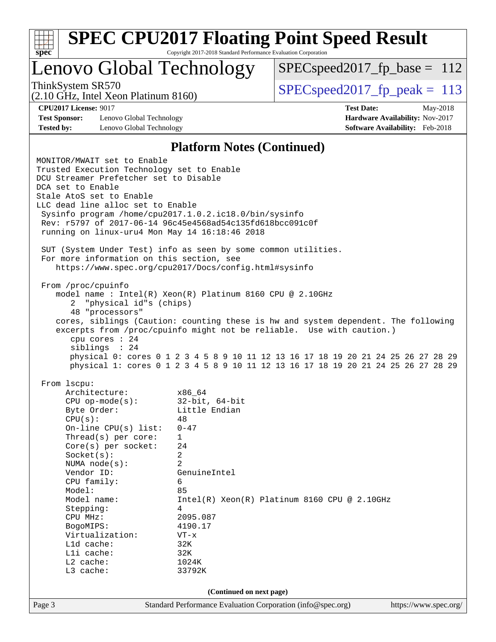| u<br>c<br>u<br>۰ |  |  |  |  |  |  |
|------------------|--|--|--|--|--|--|

# **[SPEC CPU2017 Floating Point Speed Result](http://www.spec.org/auto/cpu2017/Docs/result-fields.html#SPECCPU2017FloatingPointSpeedResult)**

Copyright 2017-2018 Standard Performance Evaluation Corporation

# Lenovo Global Technology

[SPECspeed2017\\_fp\\_base =](http://www.spec.org/auto/cpu2017/Docs/result-fields.html#SPECspeed2017fpbase) 112

(2.10 GHz, Intel Xeon Platinum 8160)

ThinkSystem SR570<br>  $(2.10 \text{ GHz})$  Intel Xeon Platinum 8160) [SPECspeed2017\\_fp\\_peak =](http://www.spec.org/auto/cpu2017/Docs/result-fields.html#SPECspeed2017fppeak) 113

**[Test Sponsor:](http://www.spec.org/auto/cpu2017/Docs/result-fields.html#TestSponsor)** Lenovo Global Technology **[Hardware Availability:](http://www.spec.org/auto/cpu2017/Docs/result-fields.html#HardwareAvailability)** Nov-2017 **[Tested by:](http://www.spec.org/auto/cpu2017/Docs/result-fields.html#Testedby)** Lenovo Global Technology **[Software Availability:](http://www.spec.org/auto/cpu2017/Docs/result-fields.html#SoftwareAvailability)** Feb-2018

**[CPU2017 License:](http://www.spec.org/auto/cpu2017/Docs/result-fields.html#CPU2017License)** 9017 **[Test Date:](http://www.spec.org/auto/cpu2017/Docs/result-fields.html#TestDate)** May-2018

#### **[Platform Notes \(Continued\)](http://www.spec.org/auto/cpu2017/Docs/result-fields.html#PlatformNotes)**

|                          | MONITOR/MWAIT set to Enable<br>Trusted Execution Technology set to Enable<br>DCU Streamer Prefetcher set to Disable<br>DCA set to Enable<br>Stale AtoS set to Enable<br>LLC dead line alloc set to Enable<br>Sysinfo program /home/cpu2017.1.0.2.ic18.0/bin/sysinfo<br>Rev: r5797 of 2017-06-14 96c45e4568ad54c135fd618bcc091c0f<br>running on linux-uru4 Mon May 14 16:18:46 2018<br>SUT (System Under Test) info as seen by some common utilities.<br>For more information on this section, see |                                                                                                                                                                                                                                                                                                                                                                                                        |                       |  |  |  |  |  |  |
|--------------------------|---------------------------------------------------------------------------------------------------------------------------------------------------------------------------------------------------------------------------------------------------------------------------------------------------------------------------------------------------------------------------------------------------------------------------------------------------------------------------------------------------|--------------------------------------------------------------------------------------------------------------------------------------------------------------------------------------------------------------------------------------------------------------------------------------------------------------------------------------------------------------------------------------------------------|-----------------------|--|--|--|--|--|--|
|                          |                                                                                                                                                                                                                                                                                                                                                                                                                                                                                                   | https://www.spec.org/cpu2017/Docs/config.html#sysinfo                                                                                                                                                                                                                                                                                                                                                  |                       |  |  |  |  |  |  |
| 2                        | From /proc/cpuinfo<br>"physical id"s (chips)<br>48 "processors"<br>cpu cores $: 24$<br>siblings : 24                                                                                                                                                                                                                                                                                                                                                                                              | model name: $Intel(R)$ Xeon $(R)$ Platinum 8160 CPU @ 2.10GHz<br>cores, siblings (Caution: counting these is hw and system dependent. The following<br>excerpts from /proc/cpuinfo might not be reliable. Use with caution.)<br>physical 0: cores 0 1 2 3 4 5 8 9 10 11 12 13 16 17 18 19 20 21 24 25 26 27 28 29<br>physical 1: cores 0 1 2 3 4 5 8 9 10 11 12 13 16 17 18 19 20 21 24 25 26 27 28 29 |                       |  |  |  |  |  |  |
| From 1scpu:              |                                                                                                                                                                                                                                                                                                                                                                                                                                                                                                   |                                                                                                                                                                                                                                                                                                                                                                                                        |                       |  |  |  |  |  |  |
|                          | Architecture:                                                                                                                                                                                                                                                                                                                                                                                                                                                                                     | x86_64                                                                                                                                                                                                                                                                                                                                                                                                 |                       |  |  |  |  |  |  |
|                          | $CPU$ op-mode(s):                                                                                                                                                                                                                                                                                                                                                                                                                                                                                 | 32-bit, 64-bit                                                                                                                                                                                                                                                                                                                                                                                         |                       |  |  |  |  |  |  |
|                          | Byte Order:                                                                                                                                                                                                                                                                                                                                                                                                                                                                                       | Little Endian                                                                                                                                                                                                                                                                                                                                                                                          |                       |  |  |  |  |  |  |
|                          | CPU(s):                                                                                                                                                                                                                                                                                                                                                                                                                                                                                           | 48                                                                                                                                                                                                                                                                                                                                                                                                     |                       |  |  |  |  |  |  |
|                          | On-line CPU $(s)$ list:                                                                                                                                                                                                                                                                                                                                                                                                                                                                           | $0 - 47$                                                                                                                                                                                                                                                                                                                                                                                               |                       |  |  |  |  |  |  |
|                          | Thread(s) per core:                                                                                                                                                                                                                                                                                                                                                                                                                                                                               | $\mathbf{1}$                                                                                                                                                                                                                                                                                                                                                                                           |                       |  |  |  |  |  |  |
|                          | $Core(s)$ per socket:                                                                                                                                                                                                                                                                                                                                                                                                                                                                             | 24                                                                                                                                                                                                                                                                                                                                                                                                     |                       |  |  |  |  |  |  |
|                          | Socket(s):                                                                                                                                                                                                                                                                                                                                                                                                                                                                                        | 2                                                                                                                                                                                                                                                                                                                                                                                                      |                       |  |  |  |  |  |  |
|                          | NUMA $node(s):$                                                                                                                                                                                                                                                                                                                                                                                                                                                                                   | 2                                                                                                                                                                                                                                                                                                                                                                                                      |                       |  |  |  |  |  |  |
|                          | Vendor ID:                                                                                                                                                                                                                                                                                                                                                                                                                                                                                        | GenuineIntel                                                                                                                                                                                                                                                                                                                                                                                           |                       |  |  |  |  |  |  |
|                          | CPU family:                                                                                                                                                                                                                                                                                                                                                                                                                                                                                       | 6                                                                                                                                                                                                                                                                                                                                                                                                      |                       |  |  |  |  |  |  |
|                          | Model:<br>Model name:                                                                                                                                                                                                                                                                                                                                                                                                                                                                             | 85                                                                                                                                                                                                                                                                                                                                                                                                     |                       |  |  |  |  |  |  |
|                          |                                                                                                                                                                                                                                                                                                                                                                                                                                                                                                   | Intel(R) Xeon(R) Platinum 8160 CPU @ 2.10GHz<br>4                                                                                                                                                                                                                                                                                                                                                      |                       |  |  |  |  |  |  |
|                          | Stepping:<br>$CPU$ $MHz:$                                                                                                                                                                                                                                                                                                                                                                                                                                                                         | 2095.087                                                                                                                                                                                                                                                                                                                                                                                               |                       |  |  |  |  |  |  |
|                          | BogoMIPS:                                                                                                                                                                                                                                                                                                                                                                                                                                                                                         | 4190.17                                                                                                                                                                                                                                                                                                                                                                                                |                       |  |  |  |  |  |  |
|                          | Virtualization:                                                                                                                                                                                                                                                                                                                                                                                                                                                                                   | $VT - x$                                                                                                                                                                                                                                                                                                                                                                                               |                       |  |  |  |  |  |  |
|                          | L1d cache:                                                                                                                                                                                                                                                                                                                                                                                                                                                                                        | 32K                                                                                                                                                                                                                                                                                                                                                                                                    |                       |  |  |  |  |  |  |
|                          | Lli cache:                                                                                                                                                                                                                                                                                                                                                                                                                                                                                        | 32K                                                                                                                                                                                                                                                                                                                                                                                                    |                       |  |  |  |  |  |  |
|                          | L2 cache:                                                                                                                                                                                                                                                                                                                                                                                                                                                                                         | 1024K                                                                                                                                                                                                                                                                                                                                                                                                  |                       |  |  |  |  |  |  |
|                          | L3 cache:                                                                                                                                                                                                                                                                                                                                                                                                                                                                                         | 33792K                                                                                                                                                                                                                                                                                                                                                                                                 |                       |  |  |  |  |  |  |
|                          |                                                                                                                                                                                                                                                                                                                                                                                                                                                                                                   |                                                                                                                                                                                                                                                                                                                                                                                                        |                       |  |  |  |  |  |  |
| (Continued on next page) |                                                                                                                                                                                                                                                                                                                                                                                                                                                                                                   |                                                                                                                                                                                                                                                                                                                                                                                                        |                       |  |  |  |  |  |  |
| Page 3                   |                                                                                                                                                                                                                                                                                                                                                                                                                                                                                                   | Standard Performance Evaluation Corporation (info@spec.org)                                                                                                                                                                                                                                                                                                                                            | https://www.spec.org/ |  |  |  |  |  |  |
|                          |                                                                                                                                                                                                                                                                                                                                                                                                                                                                                                   |                                                                                                                                                                                                                                                                                                                                                                                                        |                       |  |  |  |  |  |  |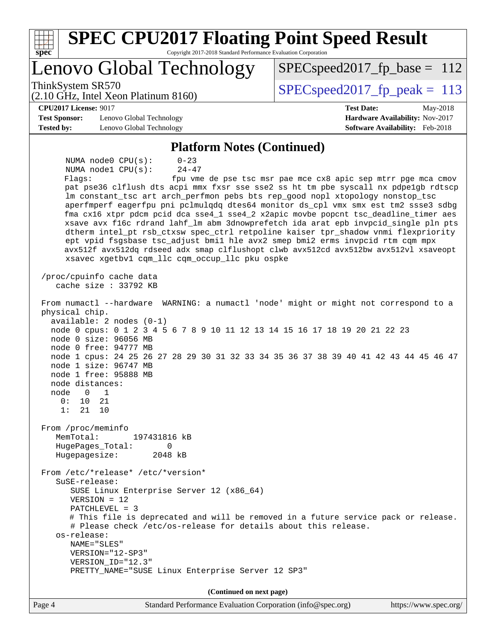| <b>SPEC CPU2017 Floating Point Speed Result</b><br>$\overline{\text{spec}^*}$                                                                                                                                                                                                                                                                                                                                                                                                                                                                                                                                                                                                                                                                                                                                                            |                                                                    |
|------------------------------------------------------------------------------------------------------------------------------------------------------------------------------------------------------------------------------------------------------------------------------------------------------------------------------------------------------------------------------------------------------------------------------------------------------------------------------------------------------------------------------------------------------------------------------------------------------------------------------------------------------------------------------------------------------------------------------------------------------------------------------------------------------------------------------------------|--------------------------------------------------------------------|
| Copyright 2017-2018 Standard Performance Evaluation Corporation<br><b>Lenovo Global Technology</b>                                                                                                                                                                                                                                                                                                                                                                                                                                                                                                                                                                                                                                                                                                                                       | $SPEC speed2017_fp\_base = 112$                                    |
| ThinkSystem SR570                                                                                                                                                                                                                                                                                                                                                                                                                                                                                                                                                                                                                                                                                                                                                                                                                        | $SPEC speed2017_fp\_peak = 113$                                    |
| (2.10 GHz, Intel Xeon Platinum 8160)<br><b>CPU2017 License: 9017</b>                                                                                                                                                                                                                                                                                                                                                                                                                                                                                                                                                                                                                                                                                                                                                                     | <b>Test Date:</b><br>May-2018                                      |
| <b>Test Sponsor:</b><br>Lenovo Global Technology<br><b>Tested by:</b><br>Lenovo Global Technology                                                                                                                                                                                                                                                                                                                                                                                                                                                                                                                                                                                                                                                                                                                                        | Hardware Availability: Nov-2017<br>Software Availability: Feb-2018 |
|                                                                                                                                                                                                                                                                                                                                                                                                                                                                                                                                                                                                                                                                                                                                                                                                                                          |                                                                    |
| <b>Platform Notes (Continued)</b>                                                                                                                                                                                                                                                                                                                                                                                                                                                                                                                                                                                                                                                                                                                                                                                                        |                                                                    |
| NUMA node0 CPU(s):<br>$0 - 23$<br>$24 - 47$<br>NUMA nodel CPU(s):<br>Flags:<br>pat pse36 clflush dts acpi mmx fxsr sse sse2 ss ht tm pbe syscall nx pdpelgb rdtscp<br>lm constant_tsc art arch_perfmon pebs bts rep_good nopl xtopology nonstop_tsc<br>aperfmperf eagerfpu pni pclmulqdq dtes64 monitor ds_cpl vmx smx est tm2 ssse3 sdbg<br>fma cx16 xtpr pdcm pcid dca sse4_1 sse4_2 x2apic movbe popcnt tsc_deadline_timer aes<br>xsave avx f16c rdrand lahf_lm abm 3dnowprefetch ida arat epb invpcid_single pln pts<br>dtherm intel_pt rsb_ctxsw spec_ctrl retpoline kaiser tpr_shadow vnmi flexpriority<br>ept vpid fsgsbase tsc_adjust bmil hle avx2 smep bmi2 erms invpcid rtm cqm mpx<br>avx512f avx512dq rdseed adx smap clflushopt clwb avx512cd avx512bw avx512vl xsaveopt<br>xsavec xgetbv1 cqm_llc cqm_occup_llc pku ospke | fpu vme de pse tsc msr pae mce cx8 apic sep mtrr pge mca cmov      |
| /proc/cpuinfo cache data<br>cache size : 33792 KB                                                                                                                                                                                                                                                                                                                                                                                                                                                                                                                                                                                                                                                                                                                                                                                        |                                                                    |
| From numactl --hardware WARNING: a numactl 'node' might or might not correspond to a<br>physical chip.<br>available: 2 nodes (0-1)<br>node 0 cpus: 0 1 2 3 4 5 6 7 8 9 10 11 12 13 14 15 16 17 18 19 20 21 22 23<br>node 0 size: 96056 MB<br>node 0 free: 94777 MB<br>node 1 cpus: 24 25 26 27 28 29 30 31 32 33 34 35 36 37 38 39 40 41 42 43 44 45 46 47<br>node 1 size: 96747 MB<br>node 1 free: 95888 MB<br>node distances:<br>node<br>1<br>0<br>0:<br>10<br>21<br>1:<br>21<br>10                                                                                                                                                                                                                                                                                                                                                    |                                                                    |
| From /proc/meminfo<br>MemTotal:<br>197431816 kB<br>HugePages_Total:<br>0<br>Hugepagesize:<br>2048 kB                                                                                                                                                                                                                                                                                                                                                                                                                                                                                                                                                                                                                                                                                                                                     |                                                                    |
| From /etc/*release* /etc/*version*<br>SuSE-release:<br>SUSE Linux Enterprise Server 12 (x86_64)<br>$VERSION = 12$<br>$PATCHLEVEL = 3$<br># This file is deprecated and will be removed in a future service pack or release.<br># Please check /etc/os-release for details about this release.<br>os-release:<br>NAME="SLES"<br>VERSION="12-SP3"<br>VERSION_ID="12.3"<br>PRETTY_NAME="SUSE Linux Enterprise Server 12 SP3"                                                                                                                                                                                                                                                                                                                                                                                                                |                                                                    |
| (Continued on next page)                                                                                                                                                                                                                                                                                                                                                                                                                                                                                                                                                                                                                                                                                                                                                                                                                 |                                                                    |
| Page 4<br>Standard Performance Evaluation Corporation (info@spec.org)                                                                                                                                                                                                                                                                                                                                                                                                                                                                                                                                                                                                                                                                                                                                                                    | https://www.spec.org/                                              |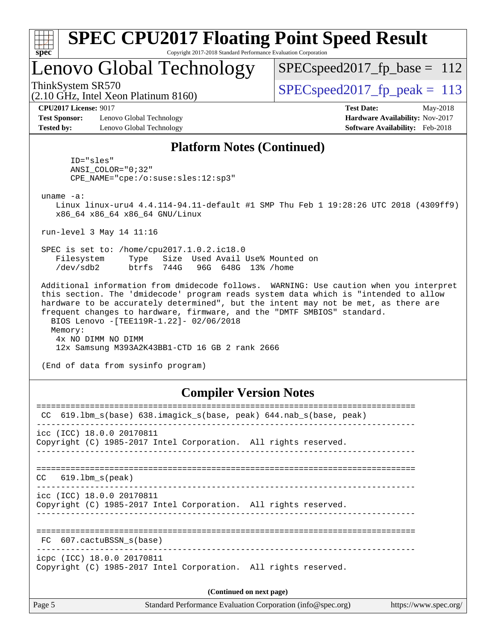| v.<br>æ<br>۱, |  |  |  |  |  |  |
|---------------|--|--|--|--|--|--|

# Lenovo Global Technology

SPECspeed2017 fp base =  $112$ 

ThinkSystem SR570<br>  $SPEC speed2017$  fp\_peak = 113

(2.10 GHz, Intel Xeon Platinum 8160)

**[Test Sponsor:](http://www.spec.org/auto/cpu2017/Docs/result-fields.html#TestSponsor)** Lenovo Global Technology **[Hardware Availability:](http://www.spec.org/auto/cpu2017/Docs/result-fields.html#HardwareAvailability)** Nov-2017 **[Tested by:](http://www.spec.org/auto/cpu2017/Docs/result-fields.html#Testedby)** Lenovo Global Technology **[Software Availability:](http://www.spec.org/auto/cpu2017/Docs/result-fields.html#SoftwareAvailability)** Feb-2018

**[CPU2017 License:](http://www.spec.org/auto/cpu2017/Docs/result-fields.html#CPU2017License)** 9017 **[Test Date:](http://www.spec.org/auto/cpu2017/Docs/result-fields.html#TestDate)** May-2018

#### **[Platform Notes \(Continued\)](http://www.spec.org/auto/cpu2017/Docs/result-fields.html#PlatformNotes)**

 ID="sles" ANSI\_COLOR="0;32" CPE\_NAME="cpe:/o:suse:sles:12:sp3"

uname -a:

 Linux linux-uru4 4.4.114-94.11-default #1 SMP Thu Feb 1 19:28:26 UTC 2018 (4309ff9) x86\_64 x86\_64 x86\_64 GNU/Linux

run-level 3 May 14 11:16

 SPEC is set to: /home/cpu2017.1.0.2.ic18.0 Filesystem Type Size Used Avail Use% Mounted on /dev/sdb2 btrfs 744G 96G 648G 13% /home

 Additional information from dmidecode follows. WARNING: Use caution when you interpret this section. The 'dmidecode' program reads system data which is "intended to allow hardware to be accurately determined", but the intent may not be met, as there are frequent changes to hardware, firmware, and the "DMTF SMBIOS" standard. BIOS Lenovo -[TEE119R-1.22]- 02/06/2018 Memory: 4x NO DIMM NO DIMM 12x Samsung M393A2K43BB1-CTD 16 GB 2 rank 2666

(End of data from sysinfo program)

#### **[Compiler Version Notes](http://www.spec.org/auto/cpu2017/Docs/result-fields.html#CompilerVersionNotes)**

| 619.1bm_s(base) 638.imagick_s(base, peak) 644.nab_s(base, peak)<br>CC                         |  |  |  |  |  |  |  |
|-----------------------------------------------------------------------------------------------|--|--|--|--|--|--|--|
| icc (ICC) 18.0.0 20170811<br>Copyright (C) 1985-2017 Intel Corporation. All rights reserved.  |  |  |  |  |  |  |  |
| $CC$ 619.1bm $s$ (peak)                                                                       |  |  |  |  |  |  |  |
| icc (ICC) 18.0.0 20170811<br>Copyright (C) 1985-2017 Intel Corporation. All rights reserved.  |  |  |  |  |  |  |  |
| FC 607.cactuBSSN s(base)                                                                      |  |  |  |  |  |  |  |
| icpc (ICC) 18.0.0 20170811<br>Copyright (C) 1985-2017 Intel Corporation. All rights reserved. |  |  |  |  |  |  |  |
| (Continued on next page)                                                                      |  |  |  |  |  |  |  |
|                                                                                               |  |  |  |  |  |  |  |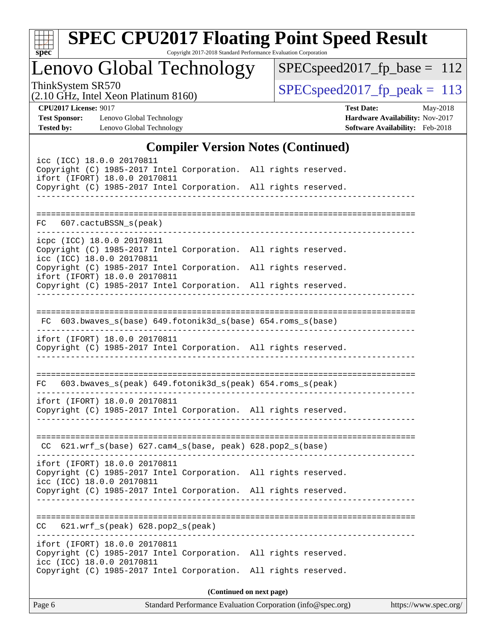| v.<br>ť |  |  |  |  |  |  |  |
|---------|--|--|--|--|--|--|--|

# **[SPEC CPU2017 Floating Point Speed Result](http://www.spec.org/auto/cpu2017/Docs/result-fields.html#SPECCPU2017FloatingPointSpeedResult)**

Copyright 2017-2018 Standard Performance Evaluation Corporation

Lenovo Global Technology

[SPECspeed2017\\_fp\\_base =](http://www.spec.org/auto/cpu2017/Docs/result-fields.html#SPECspeed2017fpbase) 112

(2.10 GHz, Intel Xeon Platinum 8160)

ThinkSystem SR570<br>  $(2.10 \text{ GHz. Intel Yeon Platinum } 8160)$  [SPECspeed2017\\_fp\\_peak =](http://www.spec.org/auto/cpu2017/Docs/result-fields.html#SPECspeed2017fppeak) 113

**[Test Sponsor:](http://www.spec.org/auto/cpu2017/Docs/result-fields.html#TestSponsor)** Lenovo Global Technology **[Hardware Availability:](http://www.spec.org/auto/cpu2017/Docs/result-fields.html#HardwareAvailability)** Nov-2017 **[Tested by:](http://www.spec.org/auto/cpu2017/Docs/result-fields.html#Testedby)** Lenovo Global Technology **[Software Availability:](http://www.spec.org/auto/cpu2017/Docs/result-fields.html#SoftwareAvailability)** Feb-2018

**[CPU2017 License:](http://www.spec.org/auto/cpu2017/Docs/result-fields.html#CPU2017License)** 9017 **[Test Date:](http://www.spec.org/auto/cpu2017/Docs/result-fields.html#TestDate)** May-2018

### **[Compiler Version Notes \(Continued\)](http://www.spec.org/auto/cpu2017/Docs/result-fields.html#CompilerVersionNotes)**

| icc (ICC) 18.0.0 20170811<br>Copyright (C) 1985-2017 Intel Corporation. All rights reserved.<br>ifort (IFORT) 18.0.0 20170811 |                          |  |
|-------------------------------------------------------------------------------------------------------------------------------|--------------------------|--|
| Copyright (C) 1985-2017 Intel Corporation. All rights reserved.                                                               |                          |  |
|                                                                                                                               |                          |  |
| FC 607.cactuBSSN_s(peak)                                                                                                      |                          |  |
| icpc (ICC) 18.0.0 20170811                                                                                                    |                          |  |
| Copyright (C) 1985-2017 Intel Corporation. All rights reserved.<br>icc (ICC) 18.0.0 20170811                                  |                          |  |
| Copyright (C) 1985-2017 Intel Corporation. All rights reserved.<br>ifort (IFORT) 18.0.0 20170811                              |                          |  |
| Copyright (C) 1985-2017 Intel Corporation. All rights reserved.                                                               |                          |  |
|                                                                                                                               |                          |  |
| FC 603.bwaves_s(base) 649.fotonik3d_s(base) 654.roms_s(base)                                                                  |                          |  |
| ifort (IFORT) 18.0.0 20170811                                                                                                 |                          |  |
| Copyright (C) 1985-2017 Intel Corporation. All rights reserved.                                                               |                          |  |
|                                                                                                                               |                          |  |
| 603.bwaves_s(peak) 649.fotonik3d_s(peak) 654.roms_s(peak)<br>FC.                                                              |                          |  |
| ifort (IFORT) 18.0.0 20170811                                                                                                 |                          |  |
| Copyright (C) 1985-2017 Intel Corporation. All rights reserved.                                                               |                          |  |
|                                                                                                                               |                          |  |
| $CC$ 621.wrf_s(base) 627.cam4_s(base, peak) 628.pop2_s(base)                                                                  |                          |  |
| ifort (IFORT) 18.0.0 20170811                                                                                                 |                          |  |
| Copyright (C) 1985-2017 Intel Corporation. All rights reserved.<br>icc (ICC) 18.0.0 20170811                                  |                          |  |
| Copyright (C) 1985-2017 Intel Corporation. All rights reserved.                                                               |                          |  |
|                                                                                                                               |                          |  |
| $621.wrf_s(peak)$ $628.pop2_s(peak)$<br>CC.                                                                                   |                          |  |
| ifort (IFORT) 18.0.0 20170811                                                                                                 |                          |  |
| Copyright (C) 1985-2017 Intel Corporation. All rights reserved.<br>icc (ICC) 18.0.0 20170811                                  |                          |  |
| Copyright (C) 1985-2017 Intel Corporation. All rights reserved.                                                               |                          |  |
|                                                                                                                               | (Continued on next page) |  |
|                                                                                                                               |                          |  |

Page 6 Standard Performance Evaluation Corporation [\(info@spec.org\)](mailto:info@spec.org) <https://www.spec.org/>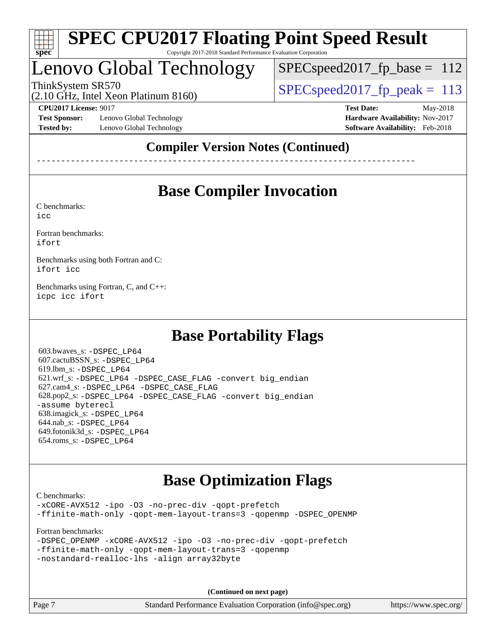

# Lenovo Global Technology

SPECspeed2017 fp base =  $112$ 

(2.10 GHz, Intel Xeon Platinum 8160)

ThinkSystem SR570<br>  $SPEC speed2017$  fp\_peak = 113

**[Test Sponsor:](http://www.spec.org/auto/cpu2017/Docs/result-fields.html#TestSponsor)** Lenovo Global Technology **[Hardware Availability:](http://www.spec.org/auto/cpu2017/Docs/result-fields.html#HardwareAvailability)** Nov-2017 **[Tested by:](http://www.spec.org/auto/cpu2017/Docs/result-fields.html#Testedby)** Lenovo Global Technology **[Software Availability:](http://www.spec.org/auto/cpu2017/Docs/result-fields.html#SoftwareAvailability)** Feb-2018

**[CPU2017 License:](http://www.spec.org/auto/cpu2017/Docs/result-fields.html#CPU2017License)** 9017 **[Test Date:](http://www.spec.org/auto/cpu2017/Docs/result-fields.html#TestDate)** May-2018

### **[Compiler Version Notes \(Continued\)](http://www.spec.org/auto/cpu2017/Docs/result-fields.html#CompilerVersionNotes)**

------------------------------------------------------------------------------

# **[Base Compiler Invocation](http://www.spec.org/auto/cpu2017/Docs/result-fields.html#BaseCompilerInvocation)**

[C benchmarks](http://www.spec.org/auto/cpu2017/Docs/result-fields.html#Cbenchmarks):

[icc](http://www.spec.org/cpu2017/results/res2018q3/cpu2017-20180619-07177.flags.html#user_CCbase_intel_icc_18.0_66fc1ee009f7361af1fbd72ca7dcefbb700085f36577c54f309893dd4ec40d12360134090235512931783d35fd58c0460139e722d5067c5574d8eaf2b3e37e92)

[Fortran benchmarks](http://www.spec.org/auto/cpu2017/Docs/result-fields.html#Fortranbenchmarks): [ifort](http://www.spec.org/cpu2017/results/res2018q3/cpu2017-20180619-07177.flags.html#user_FCbase_intel_ifort_18.0_8111460550e3ca792625aed983ce982f94888b8b503583aa7ba2b8303487b4d8a21a13e7191a45c5fd58ff318f48f9492884d4413fa793fd88dd292cad7027ca)

[Benchmarks using both Fortran and C](http://www.spec.org/auto/cpu2017/Docs/result-fields.html#BenchmarksusingbothFortranandC): [ifort](http://www.spec.org/cpu2017/results/res2018q3/cpu2017-20180619-07177.flags.html#user_CC_FCbase_intel_ifort_18.0_8111460550e3ca792625aed983ce982f94888b8b503583aa7ba2b8303487b4d8a21a13e7191a45c5fd58ff318f48f9492884d4413fa793fd88dd292cad7027ca) [icc](http://www.spec.org/cpu2017/results/res2018q3/cpu2017-20180619-07177.flags.html#user_CC_FCbase_intel_icc_18.0_66fc1ee009f7361af1fbd72ca7dcefbb700085f36577c54f309893dd4ec40d12360134090235512931783d35fd58c0460139e722d5067c5574d8eaf2b3e37e92)

[Benchmarks using Fortran, C, and C++:](http://www.spec.org/auto/cpu2017/Docs/result-fields.html#BenchmarksusingFortranCandCXX) [icpc](http://www.spec.org/cpu2017/results/res2018q3/cpu2017-20180619-07177.flags.html#user_CC_CXX_FCbase_intel_icpc_18.0_c510b6838c7f56d33e37e94d029a35b4a7bccf4766a728ee175e80a419847e808290a9b78be685c44ab727ea267ec2f070ec5dc83b407c0218cded6866a35d07) [icc](http://www.spec.org/cpu2017/results/res2018q3/cpu2017-20180619-07177.flags.html#user_CC_CXX_FCbase_intel_icc_18.0_66fc1ee009f7361af1fbd72ca7dcefbb700085f36577c54f309893dd4ec40d12360134090235512931783d35fd58c0460139e722d5067c5574d8eaf2b3e37e92) [ifort](http://www.spec.org/cpu2017/results/res2018q3/cpu2017-20180619-07177.flags.html#user_CC_CXX_FCbase_intel_ifort_18.0_8111460550e3ca792625aed983ce982f94888b8b503583aa7ba2b8303487b4d8a21a13e7191a45c5fd58ff318f48f9492884d4413fa793fd88dd292cad7027ca)

## **[Base Portability Flags](http://www.spec.org/auto/cpu2017/Docs/result-fields.html#BasePortabilityFlags)**

 603.bwaves\_s: [-DSPEC\\_LP64](http://www.spec.org/cpu2017/results/res2018q3/cpu2017-20180619-07177.flags.html#suite_basePORTABILITY603_bwaves_s_DSPEC_LP64) 607.cactuBSSN\_s: [-DSPEC\\_LP64](http://www.spec.org/cpu2017/results/res2018q3/cpu2017-20180619-07177.flags.html#suite_basePORTABILITY607_cactuBSSN_s_DSPEC_LP64) 619.lbm\_s: [-DSPEC\\_LP64](http://www.spec.org/cpu2017/results/res2018q3/cpu2017-20180619-07177.flags.html#suite_basePORTABILITY619_lbm_s_DSPEC_LP64) 621.wrf\_s: [-DSPEC\\_LP64](http://www.spec.org/cpu2017/results/res2018q3/cpu2017-20180619-07177.flags.html#suite_basePORTABILITY621_wrf_s_DSPEC_LP64) [-DSPEC\\_CASE\\_FLAG](http://www.spec.org/cpu2017/results/res2018q3/cpu2017-20180619-07177.flags.html#b621.wrf_s_baseCPORTABILITY_DSPEC_CASE_FLAG) [-convert big\\_endian](http://www.spec.org/cpu2017/results/res2018q3/cpu2017-20180619-07177.flags.html#user_baseFPORTABILITY621_wrf_s_convert_big_endian_c3194028bc08c63ac5d04de18c48ce6d347e4e562e8892b8bdbdc0214820426deb8554edfa529a3fb25a586e65a3d812c835984020483e7e73212c4d31a38223) 627.cam4\_s: [-DSPEC\\_LP64](http://www.spec.org/cpu2017/results/res2018q3/cpu2017-20180619-07177.flags.html#suite_basePORTABILITY627_cam4_s_DSPEC_LP64) [-DSPEC\\_CASE\\_FLAG](http://www.spec.org/cpu2017/results/res2018q3/cpu2017-20180619-07177.flags.html#b627.cam4_s_baseCPORTABILITY_DSPEC_CASE_FLAG) 628.pop2\_s: [-DSPEC\\_LP64](http://www.spec.org/cpu2017/results/res2018q3/cpu2017-20180619-07177.flags.html#suite_basePORTABILITY628_pop2_s_DSPEC_LP64) [-DSPEC\\_CASE\\_FLAG](http://www.spec.org/cpu2017/results/res2018q3/cpu2017-20180619-07177.flags.html#b628.pop2_s_baseCPORTABILITY_DSPEC_CASE_FLAG) [-convert big\\_endian](http://www.spec.org/cpu2017/results/res2018q3/cpu2017-20180619-07177.flags.html#user_baseFPORTABILITY628_pop2_s_convert_big_endian_c3194028bc08c63ac5d04de18c48ce6d347e4e562e8892b8bdbdc0214820426deb8554edfa529a3fb25a586e65a3d812c835984020483e7e73212c4d31a38223) [-assume byterecl](http://www.spec.org/cpu2017/results/res2018q3/cpu2017-20180619-07177.flags.html#user_baseFPORTABILITY628_pop2_s_assume_byterecl_7e47d18b9513cf18525430bbf0f2177aa9bf368bc7a059c09b2c06a34b53bd3447c950d3f8d6c70e3faf3a05c8557d66a5798b567902e8849adc142926523472) 638.imagick\_s: [-DSPEC\\_LP64](http://www.spec.org/cpu2017/results/res2018q3/cpu2017-20180619-07177.flags.html#suite_basePORTABILITY638_imagick_s_DSPEC_LP64) 644.nab\_s: [-DSPEC\\_LP64](http://www.spec.org/cpu2017/results/res2018q3/cpu2017-20180619-07177.flags.html#suite_basePORTABILITY644_nab_s_DSPEC_LP64) 649.fotonik3d\_s: [-DSPEC\\_LP64](http://www.spec.org/cpu2017/results/res2018q3/cpu2017-20180619-07177.flags.html#suite_basePORTABILITY649_fotonik3d_s_DSPEC_LP64) 654.roms\_s: [-DSPEC\\_LP64](http://www.spec.org/cpu2017/results/res2018q3/cpu2017-20180619-07177.flags.html#suite_basePORTABILITY654_roms_s_DSPEC_LP64)

## **[Base Optimization Flags](http://www.spec.org/auto/cpu2017/Docs/result-fields.html#BaseOptimizationFlags)**

[C benchmarks](http://www.spec.org/auto/cpu2017/Docs/result-fields.html#Cbenchmarks): [-xCORE-AVX512](http://www.spec.org/cpu2017/results/res2018q3/cpu2017-20180619-07177.flags.html#user_CCbase_f-xCORE-AVX512) [-ipo](http://www.spec.org/cpu2017/results/res2018q3/cpu2017-20180619-07177.flags.html#user_CCbase_f-ipo) [-O3](http://www.spec.org/cpu2017/results/res2018q3/cpu2017-20180619-07177.flags.html#user_CCbase_f-O3) [-no-prec-div](http://www.spec.org/cpu2017/results/res2018q3/cpu2017-20180619-07177.flags.html#user_CCbase_f-no-prec-div) [-qopt-prefetch](http://www.spec.org/cpu2017/results/res2018q3/cpu2017-20180619-07177.flags.html#user_CCbase_f-qopt-prefetch) [-ffinite-math-only](http://www.spec.org/cpu2017/results/res2018q3/cpu2017-20180619-07177.flags.html#user_CCbase_f_finite_math_only_cb91587bd2077682c4b38af759c288ed7c732db004271a9512da14a4f8007909a5f1427ecbf1a0fb78ff2a814402c6114ac565ca162485bbcae155b5e4258871) [-qopt-mem-layout-trans=3](http://www.spec.org/cpu2017/results/res2018q3/cpu2017-20180619-07177.flags.html#user_CCbase_f-qopt-mem-layout-trans_de80db37974c74b1f0e20d883f0b675c88c3b01e9d123adea9b28688d64333345fb62bc4a798493513fdb68f60282f9a726aa07f478b2f7113531aecce732043) [-qopenmp](http://www.spec.org/cpu2017/results/res2018q3/cpu2017-20180619-07177.flags.html#user_CCbase_qopenmp_16be0c44f24f464004c6784a7acb94aca937f053568ce72f94b139a11c7c168634a55f6653758ddd83bcf7b8463e8028bb0b48b77bcddc6b78d5d95bb1df2967) [-DSPEC\\_OPENMP](http://www.spec.org/cpu2017/results/res2018q3/cpu2017-20180619-07177.flags.html#suite_CCbase_DSPEC_OPENMP)

[Fortran benchmarks](http://www.spec.org/auto/cpu2017/Docs/result-fields.html#Fortranbenchmarks):

|  | -DSPEC OPENMP -xCORE-AVX512 -ipo -03 -no-prec-div -gopt-prefetch |  |  |  |
|--|------------------------------------------------------------------|--|--|--|
|  | -ffinite-math-only -qopt-mem-layout-trans=3 -qopenmp             |  |  |  |
|  | -nostandard-realloc-lhs -align array32byte                       |  |  |  |

**(Continued on next page)**

Page 7 Standard Performance Evaluation Corporation [\(info@spec.org\)](mailto:info@spec.org) <https://www.spec.org/>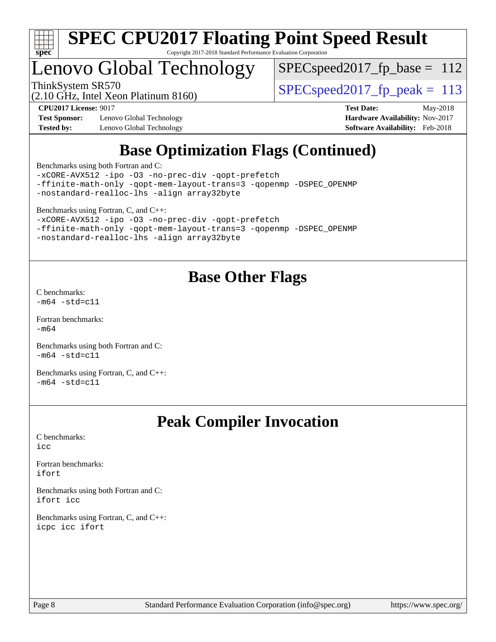

# Lenovo Global Technology

 $SPEC speed2017_fp\_base = 112$ 

(2.10 GHz, Intel Xeon Platinum 8160)

ThinkSystem SR570<br>  $SPEC speed2017$  fp\_peak = 113

**[Test Sponsor:](http://www.spec.org/auto/cpu2017/Docs/result-fields.html#TestSponsor)** Lenovo Global Technology **[Hardware Availability:](http://www.spec.org/auto/cpu2017/Docs/result-fields.html#HardwareAvailability)** Nov-2017 **[Tested by:](http://www.spec.org/auto/cpu2017/Docs/result-fields.html#Testedby)** Lenovo Global Technology **[Software Availability:](http://www.spec.org/auto/cpu2017/Docs/result-fields.html#SoftwareAvailability)** Feb-2018

**[CPU2017 License:](http://www.spec.org/auto/cpu2017/Docs/result-fields.html#CPU2017License)** 9017 **[Test Date:](http://www.spec.org/auto/cpu2017/Docs/result-fields.html#TestDate)** May-2018

# **[Base Optimization Flags \(Continued\)](http://www.spec.org/auto/cpu2017/Docs/result-fields.html#BaseOptimizationFlags)**

[Benchmarks using both Fortran and C](http://www.spec.org/auto/cpu2017/Docs/result-fields.html#BenchmarksusingbothFortranandC):

[-xCORE-AVX512](http://www.spec.org/cpu2017/results/res2018q3/cpu2017-20180619-07177.flags.html#user_CC_FCbase_f-xCORE-AVX512) [-ipo](http://www.spec.org/cpu2017/results/res2018q3/cpu2017-20180619-07177.flags.html#user_CC_FCbase_f-ipo) [-O3](http://www.spec.org/cpu2017/results/res2018q3/cpu2017-20180619-07177.flags.html#user_CC_FCbase_f-O3) [-no-prec-div](http://www.spec.org/cpu2017/results/res2018q3/cpu2017-20180619-07177.flags.html#user_CC_FCbase_f-no-prec-div) [-qopt-prefetch](http://www.spec.org/cpu2017/results/res2018q3/cpu2017-20180619-07177.flags.html#user_CC_FCbase_f-qopt-prefetch) [-ffinite-math-only](http://www.spec.org/cpu2017/results/res2018q3/cpu2017-20180619-07177.flags.html#user_CC_FCbase_f_finite_math_only_cb91587bd2077682c4b38af759c288ed7c732db004271a9512da14a4f8007909a5f1427ecbf1a0fb78ff2a814402c6114ac565ca162485bbcae155b5e4258871) [-qopt-mem-layout-trans=3](http://www.spec.org/cpu2017/results/res2018q3/cpu2017-20180619-07177.flags.html#user_CC_FCbase_f-qopt-mem-layout-trans_de80db37974c74b1f0e20d883f0b675c88c3b01e9d123adea9b28688d64333345fb62bc4a798493513fdb68f60282f9a726aa07f478b2f7113531aecce732043) [-qopenmp](http://www.spec.org/cpu2017/results/res2018q3/cpu2017-20180619-07177.flags.html#user_CC_FCbase_qopenmp_16be0c44f24f464004c6784a7acb94aca937f053568ce72f94b139a11c7c168634a55f6653758ddd83bcf7b8463e8028bb0b48b77bcddc6b78d5d95bb1df2967) [-DSPEC\\_OPENMP](http://www.spec.org/cpu2017/results/res2018q3/cpu2017-20180619-07177.flags.html#suite_CC_FCbase_DSPEC_OPENMP) [-nostandard-realloc-lhs](http://www.spec.org/cpu2017/results/res2018q3/cpu2017-20180619-07177.flags.html#user_CC_FCbase_f_2003_std_realloc_82b4557e90729c0f113870c07e44d33d6f5a304b4f63d4c15d2d0f1fab99f5daaed73bdb9275d9ae411527f28b936061aa8b9c8f2d63842963b95c9dd6426b8a) [-align array32byte](http://www.spec.org/cpu2017/results/res2018q3/cpu2017-20180619-07177.flags.html#user_CC_FCbase_align_array32byte_b982fe038af199962ba9a80c053b8342c548c85b40b8e86eb3cc33dee0d7986a4af373ac2d51c3f7cf710a18d62fdce2948f201cd044323541f22fc0fffc51b6)

[Benchmarks using Fortran, C, and C++:](http://www.spec.org/auto/cpu2017/Docs/result-fields.html#BenchmarksusingFortranCandCXX)

[-xCORE-AVX512](http://www.spec.org/cpu2017/results/res2018q3/cpu2017-20180619-07177.flags.html#user_CC_CXX_FCbase_f-xCORE-AVX512) [-ipo](http://www.spec.org/cpu2017/results/res2018q3/cpu2017-20180619-07177.flags.html#user_CC_CXX_FCbase_f-ipo) [-O3](http://www.spec.org/cpu2017/results/res2018q3/cpu2017-20180619-07177.flags.html#user_CC_CXX_FCbase_f-O3) [-no-prec-div](http://www.spec.org/cpu2017/results/res2018q3/cpu2017-20180619-07177.flags.html#user_CC_CXX_FCbase_f-no-prec-div) [-qopt-prefetch](http://www.spec.org/cpu2017/results/res2018q3/cpu2017-20180619-07177.flags.html#user_CC_CXX_FCbase_f-qopt-prefetch) [-ffinite-math-only](http://www.spec.org/cpu2017/results/res2018q3/cpu2017-20180619-07177.flags.html#user_CC_CXX_FCbase_f_finite_math_only_cb91587bd2077682c4b38af759c288ed7c732db004271a9512da14a4f8007909a5f1427ecbf1a0fb78ff2a814402c6114ac565ca162485bbcae155b5e4258871) [-qopt-mem-layout-trans=3](http://www.spec.org/cpu2017/results/res2018q3/cpu2017-20180619-07177.flags.html#user_CC_CXX_FCbase_f-qopt-mem-layout-trans_de80db37974c74b1f0e20d883f0b675c88c3b01e9d123adea9b28688d64333345fb62bc4a798493513fdb68f60282f9a726aa07f478b2f7113531aecce732043) [-qopenmp](http://www.spec.org/cpu2017/results/res2018q3/cpu2017-20180619-07177.flags.html#user_CC_CXX_FCbase_qopenmp_16be0c44f24f464004c6784a7acb94aca937f053568ce72f94b139a11c7c168634a55f6653758ddd83bcf7b8463e8028bb0b48b77bcddc6b78d5d95bb1df2967) [-DSPEC\\_OPENMP](http://www.spec.org/cpu2017/results/res2018q3/cpu2017-20180619-07177.flags.html#suite_CC_CXX_FCbase_DSPEC_OPENMP) [-nostandard-realloc-lhs](http://www.spec.org/cpu2017/results/res2018q3/cpu2017-20180619-07177.flags.html#user_CC_CXX_FCbase_f_2003_std_realloc_82b4557e90729c0f113870c07e44d33d6f5a304b4f63d4c15d2d0f1fab99f5daaed73bdb9275d9ae411527f28b936061aa8b9c8f2d63842963b95c9dd6426b8a) [-align array32byte](http://www.spec.org/cpu2017/results/res2018q3/cpu2017-20180619-07177.flags.html#user_CC_CXX_FCbase_align_array32byte_b982fe038af199962ba9a80c053b8342c548c85b40b8e86eb3cc33dee0d7986a4af373ac2d51c3f7cf710a18d62fdce2948f201cd044323541f22fc0fffc51b6)

## **[Base Other Flags](http://www.spec.org/auto/cpu2017/Docs/result-fields.html#BaseOtherFlags)**

[C benchmarks](http://www.spec.org/auto/cpu2017/Docs/result-fields.html#Cbenchmarks):  $-m64 - std= c11$  $-m64 - std= c11$ 

[Fortran benchmarks](http://www.spec.org/auto/cpu2017/Docs/result-fields.html#Fortranbenchmarks): [-m64](http://www.spec.org/cpu2017/results/res2018q3/cpu2017-20180619-07177.flags.html#user_FCbase_intel_intel64_18.0_af43caccfc8ded86e7699f2159af6efc7655f51387b94da716254467f3c01020a5059329e2569e4053f409e7c9202a7efc638f7a6d1ffb3f52dea4a3e31d82ab)

[Benchmarks using both Fortran and C](http://www.spec.org/auto/cpu2017/Docs/result-fields.html#BenchmarksusingbothFortranandC):  $-m64 - std= c11$  $-m64 - std= c11$ 

[Benchmarks using Fortran, C, and C++:](http://www.spec.org/auto/cpu2017/Docs/result-fields.html#BenchmarksusingFortranCandCXX)  $-m64 - std= c11$  $-m64 - std= c11$ 

## **[Peak Compiler Invocation](http://www.spec.org/auto/cpu2017/Docs/result-fields.html#PeakCompilerInvocation)**

[C benchmarks](http://www.spec.org/auto/cpu2017/Docs/result-fields.html#Cbenchmarks): [icc](http://www.spec.org/cpu2017/results/res2018q3/cpu2017-20180619-07177.flags.html#user_CCpeak_intel_icc_18.0_66fc1ee009f7361af1fbd72ca7dcefbb700085f36577c54f309893dd4ec40d12360134090235512931783d35fd58c0460139e722d5067c5574d8eaf2b3e37e92)

[Fortran benchmarks](http://www.spec.org/auto/cpu2017/Docs/result-fields.html#Fortranbenchmarks): [ifort](http://www.spec.org/cpu2017/results/res2018q3/cpu2017-20180619-07177.flags.html#user_FCpeak_intel_ifort_18.0_8111460550e3ca792625aed983ce982f94888b8b503583aa7ba2b8303487b4d8a21a13e7191a45c5fd58ff318f48f9492884d4413fa793fd88dd292cad7027ca)

[Benchmarks using both Fortran and C](http://www.spec.org/auto/cpu2017/Docs/result-fields.html#BenchmarksusingbothFortranandC): [ifort](http://www.spec.org/cpu2017/results/res2018q3/cpu2017-20180619-07177.flags.html#user_CC_FCpeak_intel_ifort_18.0_8111460550e3ca792625aed983ce982f94888b8b503583aa7ba2b8303487b4d8a21a13e7191a45c5fd58ff318f48f9492884d4413fa793fd88dd292cad7027ca) [icc](http://www.spec.org/cpu2017/results/res2018q3/cpu2017-20180619-07177.flags.html#user_CC_FCpeak_intel_icc_18.0_66fc1ee009f7361af1fbd72ca7dcefbb700085f36577c54f309893dd4ec40d12360134090235512931783d35fd58c0460139e722d5067c5574d8eaf2b3e37e92)

[Benchmarks using Fortran, C, and C++:](http://www.spec.org/auto/cpu2017/Docs/result-fields.html#BenchmarksusingFortranCandCXX) [icpc](http://www.spec.org/cpu2017/results/res2018q3/cpu2017-20180619-07177.flags.html#user_CC_CXX_FCpeak_intel_icpc_18.0_c510b6838c7f56d33e37e94d029a35b4a7bccf4766a728ee175e80a419847e808290a9b78be685c44ab727ea267ec2f070ec5dc83b407c0218cded6866a35d07) [icc](http://www.spec.org/cpu2017/results/res2018q3/cpu2017-20180619-07177.flags.html#user_CC_CXX_FCpeak_intel_icc_18.0_66fc1ee009f7361af1fbd72ca7dcefbb700085f36577c54f309893dd4ec40d12360134090235512931783d35fd58c0460139e722d5067c5574d8eaf2b3e37e92) [ifort](http://www.spec.org/cpu2017/results/res2018q3/cpu2017-20180619-07177.flags.html#user_CC_CXX_FCpeak_intel_ifort_18.0_8111460550e3ca792625aed983ce982f94888b8b503583aa7ba2b8303487b4d8a21a13e7191a45c5fd58ff318f48f9492884d4413fa793fd88dd292cad7027ca)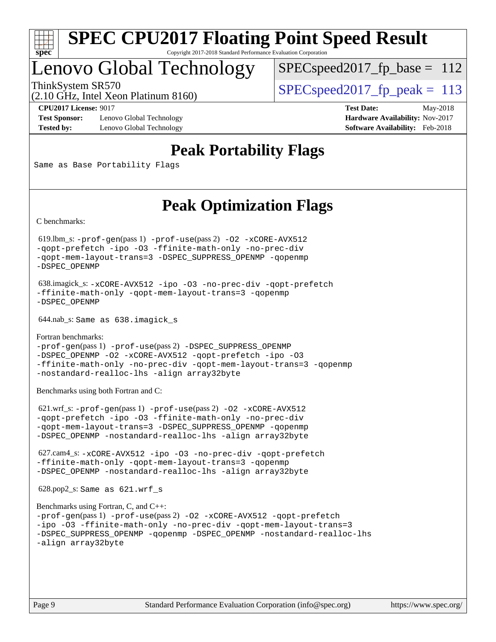

# Lenovo Global Technology

 $SPEC speed2017_fp\_base = 112$ 

(2.10 GHz, Intel Xeon Platinum 8160)

ThinkSystem SR570<br>  $SPEC speed2017$  fp\_peak = 113

**[Test Sponsor:](http://www.spec.org/auto/cpu2017/Docs/result-fields.html#TestSponsor)** Lenovo Global Technology **[Hardware Availability:](http://www.spec.org/auto/cpu2017/Docs/result-fields.html#HardwareAvailability)** Nov-2017 **[Tested by:](http://www.spec.org/auto/cpu2017/Docs/result-fields.html#Testedby)** Lenovo Global Technology **[Software Availability:](http://www.spec.org/auto/cpu2017/Docs/result-fields.html#SoftwareAvailability)** Feb-2018

**[CPU2017 License:](http://www.spec.org/auto/cpu2017/Docs/result-fields.html#CPU2017License)** 9017 **[Test Date:](http://www.spec.org/auto/cpu2017/Docs/result-fields.html#TestDate)** May-2018

## **[Peak Portability Flags](http://www.spec.org/auto/cpu2017/Docs/result-fields.html#PeakPortabilityFlags)**

Same as Base Portability Flags

## **[Peak Optimization Flags](http://www.spec.org/auto/cpu2017/Docs/result-fields.html#PeakOptimizationFlags)**

[C benchmarks](http://www.spec.org/auto/cpu2017/Docs/result-fields.html#Cbenchmarks):

 619.lbm\_s: [-prof-gen](http://www.spec.org/cpu2017/results/res2018q3/cpu2017-20180619-07177.flags.html#user_peakPASS1_CFLAGSPASS1_LDFLAGS619_lbm_s_prof_gen_5aa4926d6013ddb2a31985c654b3eb18169fc0c6952a63635c234f711e6e63dd76e94ad52365559451ec499a2cdb89e4dc58ba4c67ef54ca681ffbe1461d6b36)(pass 1) [-prof-use](http://www.spec.org/cpu2017/results/res2018q3/cpu2017-20180619-07177.flags.html#user_peakPASS2_CFLAGSPASS2_LDFLAGS619_lbm_s_prof_use_1a21ceae95f36a2b53c25747139a6c16ca95bd9def2a207b4f0849963b97e94f5260e30a0c64f4bb623698870e679ca08317ef8150905d41bd88c6f78df73f19)(pass 2) [-O2](http://www.spec.org/cpu2017/results/res2018q3/cpu2017-20180619-07177.flags.html#user_peakPASS1_COPTIMIZE619_lbm_s_f-O2) [-xCORE-AVX512](http://www.spec.org/cpu2017/results/res2018q3/cpu2017-20180619-07177.flags.html#user_peakPASS2_COPTIMIZE619_lbm_s_f-xCORE-AVX512) [-qopt-prefetch](http://www.spec.org/cpu2017/results/res2018q3/cpu2017-20180619-07177.flags.html#user_peakPASS1_COPTIMIZEPASS2_COPTIMIZE619_lbm_s_f-qopt-prefetch) [-ipo](http://www.spec.org/cpu2017/results/res2018q3/cpu2017-20180619-07177.flags.html#user_peakPASS2_COPTIMIZE619_lbm_s_f-ipo) [-O3](http://www.spec.org/cpu2017/results/res2018q3/cpu2017-20180619-07177.flags.html#user_peakPASS2_COPTIMIZE619_lbm_s_f-O3) [-ffinite-math-only](http://www.spec.org/cpu2017/results/res2018q3/cpu2017-20180619-07177.flags.html#user_peakPASS1_COPTIMIZEPASS2_COPTIMIZE619_lbm_s_f_finite_math_only_cb91587bd2077682c4b38af759c288ed7c732db004271a9512da14a4f8007909a5f1427ecbf1a0fb78ff2a814402c6114ac565ca162485bbcae155b5e4258871) [-no-prec-div](http://www.spec.org/cpu2017/results/res2018q3/cpu2017-20180619-07177.flags.html#user_peakPASS2_COPTIMIZE619_lbm_s_f-no-prec-div) [-qopt-mem-layout-trans=3](http://www.spec.org/cpu2017/results/res2018q3/cpu2017-20180619-07177.flags.html#user_peakPASS1_COPTIMIZEPASS2_COPTIMIZE619_lbm_s_f-qopt-mem-layout-trans_de80db37974c74b1f0e20d883f0b675c88c3b01e9d123adea9b28688d64333345fb62bc4a798493513fdb68f60282f9a726aa07f478b2f7113531aecce732043) [-DSPEC\\_SUPPRESS\\_OPENMP](http://www.spec.org/cpu2017/results/res2018q3/cpu2017-20180619-07177.flags.html#suite_peakPASS1_COPTIMIZE619_lbm_s_DSPEC_SUPPRESS_OPENMP) [-qopenmp](http://www.spec.org/cpu2017/results/res2018q3/cpu2017-20180619-07177.flags.html#user_peakPASS2_COPTIMIZE619_lbm_s_qopenmp_16be0c44f24f464004c6784a7acb94aca937f053568ce72f94b139a11c7c168634a55f6653758ddd83bcf7b8463e8028bb0b48b77bcddc6b78d5d95bb1df2967) [-DSPEC\\_OPENMP](http://www.spec.org/cpu2017/results/res2018q3/cpu2017-20180619-07177.flags.html#suite_peakPASS2_COPTIMIZE619_lbm_s_DSPEC_OPENMP)

 638.imagick\_s: [-xCORE-AVX512](http://www.spec.org/cpu2017/results/res2018q3/cpu2017-20180619-07177.flags.html#user_peakCOPTIMIZE638_imagick_s_f-xCORE-AVX512) [-ipo](http://www.spec.org/cpu2017/results/res2018q3/cpu2017-20180619-07177.flags.html#user_peakCOPTIMIZE638_imagick_s_f-ipo) [-O3](http://www.spec.org/cpu2017/results/res2018q3/cpu2017-20180619-07177.flags.html#user_peakCOPTIMIZE638_imagick_s_f-O3) [-no-prec-div](http://www.spec.org/cpu2017/results/res2018q3/cpu2017-20180619-07177.flags.html#user_peakCOPTIMIZE638_imagick_s_f-no-prec-div) [-qopt-prefetch](http://www.spec.org/cpu2017/results/res2018q3/cpu2017-20180619-07177.flags.html#user_peakCOPTIMIZE638_imagick_s_f-qopt-prefetch) [-ffinite-math-only](http://www.spec.org/cpu2017/results/res2018q3/cpu2017-20180619-07177.flags.html#user_peakCOPTIMIZE638_imagick_s_f_finite_math_only_cb91587bd2077682c4b38af759c288ed7c732db004271a9512da14a4f8007909a5f1427ecbf1a0fb78ff2a814402c6114ac565ca162485bbcae155b5e4258871) [-qopt-mem-layout-trans=3](http://www.spec.org/cpu2017/results/res2018q3/cpu2017-20180619-07177.flags.html#user_peakCOPTIMIZE638_imagick_s_f-qopt-mem-layout-trans_de80db37974c74b1f0e20d883f0b675c88c3b01e9d123adea9b28688d64333345fb62bc4a798493513fdb68f60282f9a726aa07f478b2f7113531aecce732043) [-qopenmp](http://www.spec.org/cpu2017/results/res2018q3/cpu2017-20180619-07177.flags.html#user_peakCOPTIMIZE638_imagick_s_qopenmp_16be0c44f24f464004c6784a7acb94aca937f053568ce72f94b139a11c7c168634a55f6653758ddd83bcf7b8463e8028bb0b48b77bcddc6b78d5d95bb1df2967) [-DSPEC\\_OPENMP](http://www.spec.org/cpu2017/results/res2018q3/cpu2017-20180619-07177.flags.html#suite_peakCOPTIMIZE638_imagick_s_DSPEC_OPENMP)

644.nab\_s: Same as 638.imagick\_s

[Fortran benchmarks](http://www.spec.org/auto/cpu2017/Docs/result-fields.html#Fortranbenchmarks): [-prof-gen](http://www.spec.org/cpu2017/results/res2018q3/cpu2017-20180619-07177.flags.html#user_FCpeak_prof_gen_5aa4926d6013ddb2a31985c654b3eb18169fc0c6952a63635c234f711e6e63dd76e94ad52365559451ec499a2cdb89e4dc58ba4c67ef54ca681ffbe1461d6b36)(pass 1) [-prof-use](http://www.spec.org/cpu2017/results/res2018q3/cpu2017-20180619-07177.flags.html#user_FCpeak_prof_use_1a21ceae95f36a2b53c25747139a6c16ca95bd9def2a207b4f0849963b97e94f5260e30a0c64f4bb623698870e679ca08317ef8150905d41bd88c6f78df73f19)(pass 2) [-DSPEC\\_SUPPRESS\\_OPENMP](http://www.spec.org/cpu2017/results/res2018q3/cpu2017-20180619-07177.flags.html#suite_FCpeak_DSPEC_SUPPRESS_OPENMP) [-DSPEC\\_OPENMP](http://www.spec.org/cpu2017/results/res2018q3/cpu2017-20180619-07177.flags.html#suite_FCpeak_DSPEC_OPENMP) [-O2](http://www.spec.org/cpu2017/results/res2018q3/cpu2017-20180619-07177.flags.html#user_FCpeak_f-O2) [-xCORE-AVX512](http://www.spec.org/cpu2017/results/res2018q3/cpu2017-20180619-07177.flags.html#user_FCpeak_f-xCORE-AVX512) [-qopt-prefetch](http://www.spec.org/cpu2017/results/res2018q3/cpu2017-20180619-07177.flags.html#user_FCpeak_f-qopt-prefetch) [-ipo](http://www.spec.org/cpu2017/results/res2018q3/cpu2017-20180619-07177.flags.html#user_FCpeak_f-ipo) [-O3](http://www.spec.org/cpu2017/results/res2018q3/cpu2017-20180619-07177.flags.html#user_FCpeak_f-O3) [-ffinite-math-only](http://www.spec.org/cpu2017/results/res2018q3/cpu2017-20180619-07177.flags.html#user_FCpeak_f_finite_math_only_cb91587bd2077682c4b38af759c288ed7c732db004271a9512da14a4f8007909a5f1427ecbf1a0fb78ff2a814402c6114ac565ca162485bbcae155b5e4258871) [-no-prec-div](http://www.spec.org/cpu2017/results/res2018q3/cpu2017-20180619-07177.flags.html#user_FCpeak_f-no-prec-div) [-qopt-mem-layout-trans=3](http://www.spec.org/cpu2017/results/res2018q3/cpu2017-20180619-07177.flags.html#user_FCpeak_f-qopt-mem-layout-trans_de80db37974c74b1f0e20d883f0b675c88c3b01e9d123adea9b28688d64333345fb62bc4a798493513fdb68f60282f9a726aa07f478b2f7113531aecce732043) [-qopenmp](http://www.spec.org/cpu2017/results/res2018q3/cpu2017-20180619-07177.flags.html#user_FCpeak_qopenmp_16be0c44f24f464004c6784a7acb94aca937f053568ce72f94b139a11c7c168634a55f6653758ddd83bcf7b8463e8028bb0b48b77bcddc6b78d5d95bb1df2967) [-nostandard-realloc-lhs](http://www.spec.org/cpu2017/results/res2018q3/cpu2017-20180619-07177.flags.html#user_FCpeak_f_2003_std_realloc_82b4557e90729c0f113870c07e44d33d6f5a304b4f63d4c15d2d0f1fab99f5daaed73bdb9275d9ae411527f28b936061aa8b9c8f2d63842963b95c9dd6426b8a) [-align array32byte](http://www.spec.org/cpu2017/results/res2018q3/cpu2017-20180619-07177.flags.html#user_FCpeak_align_array32byte_b982fe038af199962ba9a80c053b8342c548c85b40b8e86eb3cc33dee0d7986a4af373ac2d51c3f7cf710a18d62fdce2948f201cd044323541f22fc0fffc51b6)

[Benchmarks using both Fortran and C](http://www.spec.org/auto/cpu2017/Docs/result-fields.html#BenchmarksusingbothFortranandC):

 621.wrf\_s: [-prof-gen](http://www.spec.org/cpu2017/results/res2018q3/cpu2017-20180619-07177.flags.html#user_peakPASS1_CFLAGSPASS1_FFLAGSPASS1_LDFLAGS621_wrf_s_prof_gen_5aa4926d6013ddb2a31985c654b3eb18169fc0c6952a63635c234f711e6e63dd76e94ad52365559451ec499a2cdb89e4dc58ba4c67ef54ca681ffbe1461d6b36)(pass 1) [-prof-use](http://www.spec.org/cpu2017/results/res2018q3/cpu2017-20180619-07177.flags.html#user_peakPASS2_CFLAGSPASS2_FFLAGSPASS2_LDFLAGS621_wrf_s_prof_use_1a21ceae95f36a2b53c25747139a6c16ca95bd9def2a207b4f0849963b97e94f5260e30a0c64f4bb623698870e679ca08317ef8150905d41bd88c6f78df73f19)(pass 2) [-O2](http://www.spec.org/cpu2017/results/res2018q3/cpu2017-20180619-07177.flags.html#user_peakPASS1_COPTIMIZEPASS1_FOPTIMIZE621_wrf_s_f-O2) [-xCORE-AVX512](http://www.spec.org/cpu2017/results/res2018q3/cpu2017-20180619-07177.flags.html#user_peakPASS2_COPTIMIZEPASS2_FOPTIMIZE621_wrf_s_f-xCORE-AVX512) [-qopt-prefetch](http://www.spec.org/cpu2017/results/res2018q3/cpu2017-20180619-07177.flags.html#user_peakPASS1_COPTIMIZEPASS1_FOPTIMIZEPASS2_COPTIMIZEPASS2_FOPTIMIZE621_wrf_s_f-qopt-prefetch) [-ipo](http://www.spec.org/cpu2017/results/res2018q3/cpu2017-20180619-07177.flags.html#user_peakPASS2_COPTIMIZEPASS2_FOPTIMIZE621_wrf_s_f-ipo) [-O3](http://www.spec.org/cpu2017/results/res2018q3/cpu2017-20180619-07177.flags.html#user_peakPASS2_COPTIMIZEPASS2_FOPTIMIZE621_wrf_s_f-O3) [-ffinite-math-only](http://www.spec.org/cpu2017/results/res2018q3/cpu2017-20180619-07177.flags.html#user_peakPASS1_COPTIMIZEPASS1_FOPTIMIZEPASS2_COPTIMIZEPASS2_FOPTIMIZE621_wrf_s_f_finite_math_only_cb91587bd2077682c4b38af759c288ed7c732db004271a9512da14a4f8007909a5f1427ecbf1a0fb78ff2a814402c6114ac565ca162485bbcae155b5e4258871) [-no-prec-div](http://www.spec.org/cpu2017/results/res2018q3/cpu2017-20180619-07177.flags.html#user_peakPASS2_COPTIMIZEPASS2_FOPTIMIZE621_wrf_s_f-no-prec-div) [-qopt-mem-layout-trans=3](http://www.spec.org/cpu2017/results/res2018q3/cpu2017-20180619-07177.flags.html#user_peakPASS1_COPTIMIZEPASS1_FOPTIMIZEPASS2_COPTIMIZEPASS2_FOPTIMIZE621_wrf_s_f-qopt-mem-layout-trans_de80db37974c74b1f0e20d883f0b675c88c3b01e9d123adea9b28688d64333345fb62bc4a798493513fdb68f60282f9a726aa07f478b2f7113531aecce732043) [-DSPEC\\_SUPPRESS\\_OPENMP](http://www.spec.org/cpu2017/results/res2018q3/cpu2017-20180619-07177.flags.html#suite_peakPASS1_COPTIMIZEPASS1_FOPTIMIZE621_wrf_s_DSPEC_SUPPRESS_OPENMP) [-qopenmp](http://www.spec.org/cpu2017/results/res2018q3/cpu2017-20180619-07177.flags.html#user_peakPASS2_COPTIMIZEPASS2_FOPTIMIZE621_wrf_s_qopenmp_16be0c44f24f464004c6784a7acb94aca937f053568ce72f94b139a11c7c168634a55f6653758ddd83bcf7b8463e8028bb0b48b77bcddc6b78d5d95bb1df2967) [-DSPEC\\_OPENMP](http://www.spec.org/cpu2017/results/res2018q3/cpu2017-20180619-07177.flags.html#suite_peakPASS2_COPTIMIZEPASS2_FOPTIMIZE621_wrf_s_DSPEC_OPENMP) [-nostandard-realloc-lhs](http://www.spec.org/cpu2017/results/res2018q3/cpu2017-20180619-07177.flags.html#user_peakEXTRA_FOPTIMIZE621_wrf_s_f_2003_std_realloc_82b4557e90729c0f113870c07e44d33d6f5a304b4f63d4c15d2d0f1fab99f5daaed73bdb9275d9ae411527f28b936061aa8b9c8f2d63842963b95c9dd6426b8a) [-align array32byte](http://www.spec.org/cpu2017/results/res2018q3/cpu2017-20180619-07177.flags.html#user_peakEXTRA_FOPTIMIZE621_wrf_s_align_array32byte_b982fe038af199962ba9a80c053b8342c548c85b40b8e86eb3cc33dee0d7986a4af373ac2d51c3f7cf710a18d62fdce2948f201cd044323541f22fc0fffc51b6)

 627.cam4\_s: [-xCORE-AVX512](http://www.spec.org/cpu2017/results/res2018q3/cpu2017-20180619-07177.flags.html#user_peakCOPTIMIZEFOPTIMIZE627_cam4_s_f-xCORE-AVX512) [-ipo](http://www.spec.org/cpu2017/results/res2018q3/cpu2017-20180619-07177.flags.html#user_peakCOPTIMIZEFOPTIMIZE627_cam4_s_f-ipo) [-O3](http://www.spec.org/cpu2017/results/res2018q3/cpu2017-20180619-07177.flags.html#user_peakCOPTIMIZEFOPTIMIZE627_cam4_s_f-O3) [-no-prec-div](http://www.spec.org/cpu2017/results/res2018q3/cpu2017-20180619-07177.flags.html#user_peakCOPTIMIZEFOPTIMIZE627_cam4_s_f-no-prec-div) [-qopt-prefetch](http://www.spec.org/cpu2017/results/res2018q3/cpu2017-20180619-07177.flags.html#user_peakCOPTIMIZEFOPTIMIZE627_cam4_s_f-qopt-prefetch) [-ffinite-math-only](http://www.spec.org/cpu2017/results/res2018q3/cpu2017-20180619-07177.flags.html#user_peakCOPTIMIZEFOPTIMIZE627_cam4_s_f_finite_math_only_cb91587bd2077682c4b38af759c288ed7c732db004271a9512da14a4f8007909a5f1427ecbf1a0fb78ff2a814402c6114ac565ca162485bbcae155b5e4258871) [-qopt-mem-layout-trans=3](http://www.spec.org/cpu2017/results/res2018q3/cpu2017-20180619-07177.flags.html#user_peakCOPTIMIZEFOPTIMIZE627_cam4_s_f-qopt-mem-layout-trans_de80db37974c74b1f0e20d883f0b675c88c3b01e9d123adea9b28688d64333345fb62bc4a798493513fdb68f60282f9a726aa07f478b2f7113531aecce732043) [-qopenmp](http://www.spec.org/cpu2017/results/res2018q3/cpu2017-20180619-07177.flags.html#user_peakCOPTIMIZEFOPTIMIZE627_cam4_s_qopenmp_16be0c44f24f464004c6784a7acb94aca937f053568ce72f94b139a11c7c168634a55f6653758ddd83bcf7b8463e8028bb0b48b77bcddc6b78d5d95bb1df2967) [-DSPEC\\_OPENMP](http://www.spec.org/cpu2017/results/res2018q3/cpu2017-20180619-07177.flags.html#suite_peakCOPTIMIZEFOPTIMIZE627_cam4_s_DSPEC_OPENMP) [-nostandard-realloc-lhs](http://www.spec.org/cpu2017/results/res2018q3/cpu2017-20180619-07177.flags.html#user_peakEXTRA_FOPTIMIZE627_cam4_s_f_2003_std_realloc_82b4557e90729c0f113870c07e44d33d6f5a304b4f63d4c15d2d0f1fab99f5daaed73bdb9275d9ae411527f28b936061aa8b9c8f2d63842963b95c9dd6426b8a) [-align array32byte](http://www.spec.org/cpu2017/results/res2018q3/cpu2017-20180619-07177.flags.html#user_peakEXTRA_FOPTIMIZE627_cam4_s_align_array32byte_b982fe038af199962ba9a80c053b8342c548c85b40b8e86eb3cc33dee0d7986a4af373ac2d51c3f7cf710a18d62fdce2948f201cd044323541f22fc0fffc51b6)

628.pop2\_s: Same as 621.wrf\_s

```
Benchmarks using Fortran, C, and C++: 
-prof-gen(pass 1) -prof-use(pass 2) -O2 -xCORE-AVX512 -qopt-prefetch
-ipo -O3 -ffinite-math-only -no-prec-div -qopt-mem-layout-trans=3
-DSPEC_SUPPRESS_OPENMP -qopenmp -DSPEC_OPENMP -nostandard-realloc-lhs
-align array32byte
```